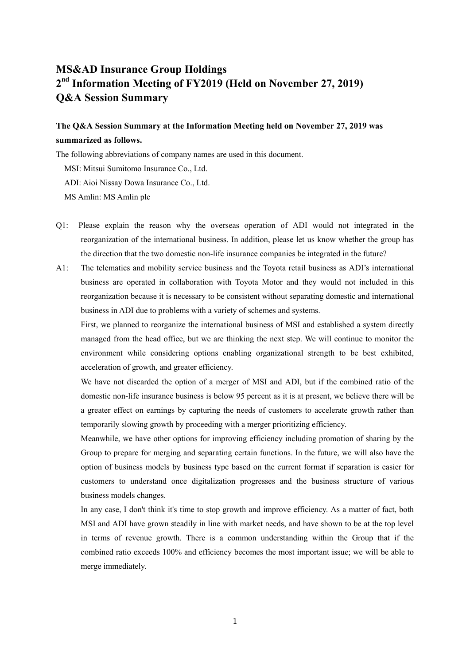## **MS&AD Insurance Group Holdings 2nd Information Meeting of FY2019 (Held on November 27, 2019) Q&A Session Summary**

## **The Q&A Session Summary at the Information Meeting held on November 27, 2019 was summarized as follows.**

The following abbreviations of company names are used in this document.

MSI: Mitsui Sumitomo Insurance Co., Ltd.

ADI: Aioi Nissay Dowa Insurance Co., Ltd.

MS Amlin: MS Amlin plc

- Q1: Please explain the reason why the overseas operation of ADI would not integrated in the reorganization of the international business. In addition, please let us know whether the group has the direction that the two domestic non-life insurance companies be integrated in the future?
- A1: The telematics and mobility service business and the Toyota retail business as ADI's international business are operated in collaboration with Toyota Motor and they would not included in this reorganization because it is necessary to be consistent without separating domestic and international business in ADI due to problems with a variety of schemes and systems.

First, we planned to reorganize the international business of MSI and established a system directly managed from the head office, but we are thinking the next step. We will continue to monitor the environment while considering options enabling organizational strength to be best exhibited, acceleration of growth, and greater efficiency.

We have not discarded the option of a merger of MSI and ADI, but if the combined ratio of the domestic non-life insurance business is below 95 percent as it is at present, we believe there will be a greater effect on earnings by capturing the needs of customers to accelerate growth rather than temporarily slowing growth by proceeding with a merger prioritizing efficiency.

Meanwhile, we have other options for improving efficiency including promotion of sharing by the Group to prepare for merging and separating certain functions. In the future, we will also have the option of business models by business type based on the current format if separation is easier for customers to understand once digitalization progresses and the business structure of various business models changes.

In any case, I don't think it's time to stop growth and improve efficiency. As a matter of fact, both MSI and ADI have grown steadily in line with market needs, and have shown to be at the top level in terms of revenue growth. There is a common understanding within the Group that if the combined ratio exceeds 100% and efficiency becomes the most important issue; we will be able to merge immediately.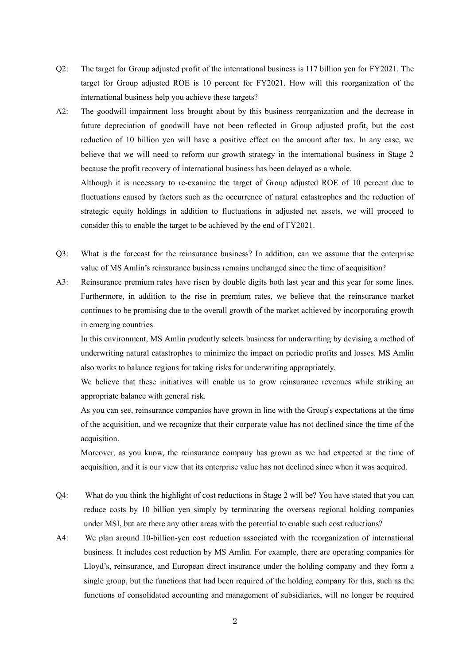- Q2: The target for Group adjusted profit of the international business is 117 billion yen for FY2021. The target for Group adjusted ROE is 10 percent for FY2021. How will this reorganization of the international business help you achieve these targets?
- A2: The goodwill impairment loss brought about by this business reorganization and the decrease in future depreciation of goodwill have not been reflected in Group adjusted profit, but the cost reduction of 10 billion yen will have a positive effect on the amount after tax. In any case, we believe that we will need to reform our growth strategy in the international business in Stage 2 because the profit recovery of international business has been delayed as a whole. Although it is necessary to re-examine the target of Group adjusted ROE of 10 percent due to fluctuations caused by factors such as the occurrence of natural catastrophes and the reduction of strategic equity holdings in addition to fluctuations in adjusted net assets, we will proceed to
- Q3: What is the forecast for the reinsurance business? In addition, can we assume that the enterprise value of MS Amlin's reinsurance business remains unchanged since the time of acquisition?

consider this to enable the target to be achieved by the end of FY2021.

A3: Reinsurance premium rates have risen by double digits both last year and this year for some lines. Furthermore, in addition to the rise in premium rates, we believe that the reinsurance market continues to be promising due to the overall growth of the market achieved by incorporating growth in emerging countries.

In this environment, MS Amlin prudently selects business for underwriting by devising a method of underwriting natural catastrophes to minimize the impact on periodic profits and losses. MS Amlin also works to balance regions for taking risks for underwriting appropriately.

We believe that these initiatives will enable us to grow reinsurance revenues while striking an appropriate balance with general risk.

As you can see, reinsurance companies have grown in line with the Group's expectations at the time of the acquisition, and we recognize that their corporate value has not declined since the time of the acquisition.

Moreover, as you know, the reinsurance company has grown as we had expected at the time of acquisition, and it is our view that its enterprise value has not declined since when it was acquired.

- Q4: What do you think the highlight of cost reductions in Stage 2 will be? You have stated that you can reduce costs by 10 billion yen simply by terminating the overseas regional holding companies under MSI, but are there any other areas with the potential to enable such cost reductions?
- A4: We plan around 10-billion-yen cost reduction associated with the reorganization of international business. It includes cost reduction by MS Amlin. For example, there are operating companies for Lloyd's, reinsurance, and European direct insurance under the holding company and they form a single group, but the functions that had been required of the holding company for this, such as the functions of consolidated accounting and management of subsidiaries, will no longer be required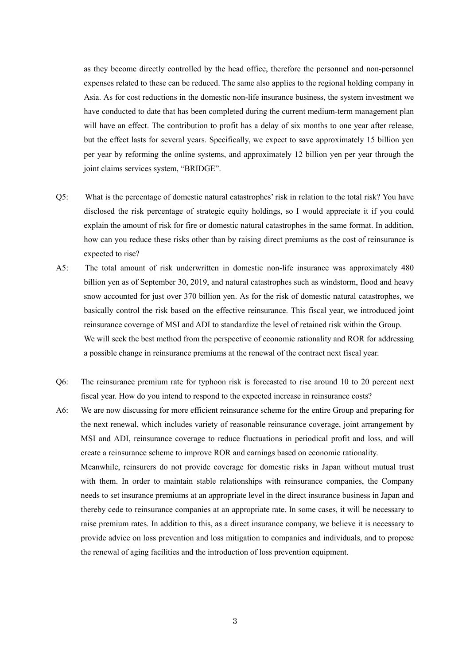as they become directly controlled by the head office, therefore the personnel and non-personnel expenses related to these can be reduced. The same also applies to the regional holding company in Asia. As for cost reductions in the domestic non-life insurance business, the system investment we have conducted to date that has been completed during the current medium-term management plan will have an effect. The contribution to profit has a delay of six months to one year after release, but the effect lasts for several years. Specifically, we expect to save approximately 15 billion yen per year by reforming the online systems, and approximately 12 billion yen per year through the joint claims services system, "BRIDGE".

- Q5: What is the percentage of domestic natural catastrophes' risk in relation to the total risk? You have disclosed the risk percentage of strategic equity holdings, so I would appreciate it if you could explain the amount of risk for fire or domestic natural catastrophes in the same format. In addition, how can you reduce these risks other than by raising direct premiums as the cost of reinsurance is expected to rise?
- A5: The total amount of risk underwritten in domestic non-life insurance was approximately 480 billion yen as of September 30, 2019, and natural catastrophes such as windstorm, flood and heavy snow accounted for just over 370 billion yen. As for the risk of domestic natural catastrophes, we basically control the risk based on the effective reinsurance. This fiscal year, we introduced joint reinsurance coverage of MSI and ADI to standardize the level of retained risk within the Group. We will seek the best method from the perspective of economic rationality and ROR for addressing a possible change in reinsurance premiums at the renewal of the contract next fiscal year.
- Q6: The reinsurance premium rate for typhoon risk is forecasted to rise around 10 to 20 percent next fiscal year. How do you intend to respond to the expected increase in reinsurance costs?
- A6: We are now discussing for more efficient reinsurance scheme for the entire Group and preparing for the next renewal, which includes variety of reasonable reinsurance coverage, joint arrangement by MSI and ADI, reinsurance coverage to reduce fluctuations in periodical profit and loss, and will create a reinsurance scheme to improve ROR and earnings based on economic rationality. Meanwhile, reinsurers do not provide coverage for domestic risks in Japan without mutual trust with them. In order to maintain stable relationships with reinsurance companies, the Company needs to set insurance premiums at an appropriate level in the direct insurance business in Japan and thereby cede to reinsurance companies at an appropriate rate. In some cases, it will be necessary to raise premium rates. In addition to this, as a direct insurance company, we believe it is necessary to provide advice on loss prevention and loss mitigation to companies and individuals, and to propose the renewal of aging facilities and the introduction of loss prevention equipment.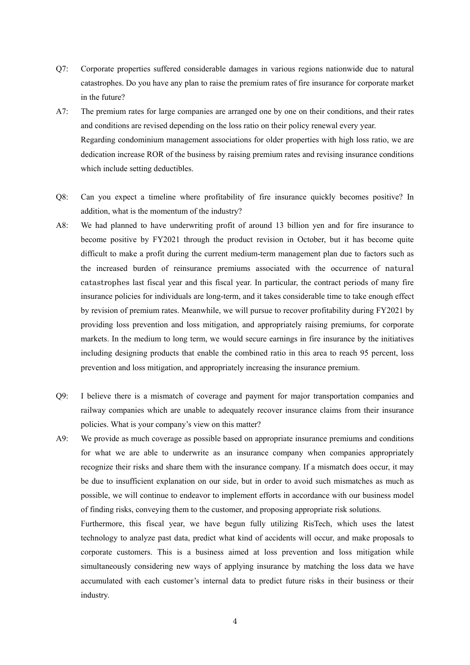- Q7: Corporate properties suffered considerable damages in various regions nationwide due to natural catastrophes. Do you have any plan to raise the premium rates of fire insurance for corporate market in the future?
- A7: The premium rates for large companies are arranged one by one on their conditions, and their rates and conditions are revised depending on the loss ratio on their policy renewal every year. Regarding condominium management associations for older properties with high loss ratio, we are dedication increase ROR of the business by raising premium rates and revising insurance conditions which include setting deductibles.
- Q8: Can you expect a timeline where profitability of fire insurance quickly becomes positive? In addition, what is the momentum of the industry?
- A8: We had planned to have underwriting profit of around 13 billion yen and for fire insurance to become positive by FY2021 through the product revision in October, but it has become quite difficult to make a profit during the current medium-term management plan due to factors such as the increased burden of reinsurance premiums associated with the occurrence of natural catastrophes last fiscal year and this fiscal year. In particular, the contract periods of many fire insurance policies for individuals are long-term, and it takes considerable time to take enough effect by revision of premium rates. Meanwhile, we will pursue to recover profitability during FY2021 by providing loss prevention and loss mitigation, and appropriately raising premiums, for corporate markets. In the medium to long term, we would secure earnings in fire insurance by the initiatives including designing products that enable the combined ratio in this area to reach 95 percent, loss prevention and loss mitigation, and appropriately increasing the insurance premium.
- Q9: I believe there is a mismatch of coverage and payment for major transportation companies and railway companies which are unable to adequately recover insurance claims from their insurance policies. What is your company's view on this matter?
- A9: We provide as much coverage as possible based on appropriate insurance premiums and conditions for what we are able to underwrite as an insurance company when companies appropriately recognize their risks and share them with the insurance company. If a mismatch does occur, it may be due to insufficient explanation on our side, but in order to avoid such mismatches as much as possible, we will continue to endeavor to implement efforts in accordance with our business model of finding risks, conveying them to the customer, and proposing appropriate risk solutions.

Furthermore, this fiscal year, we have begun fully utilizing RisTech, which uses the latest technology to analyze past data, predict what kind of accidents will occur, and make proposals to corporate customers. This is a business aimed at loss prevention and loss mitigation while simultaneously considering new ways of applying insurance by matching the loss data we have accumulated with each customer's internal data to predict future risks in their business or their industry.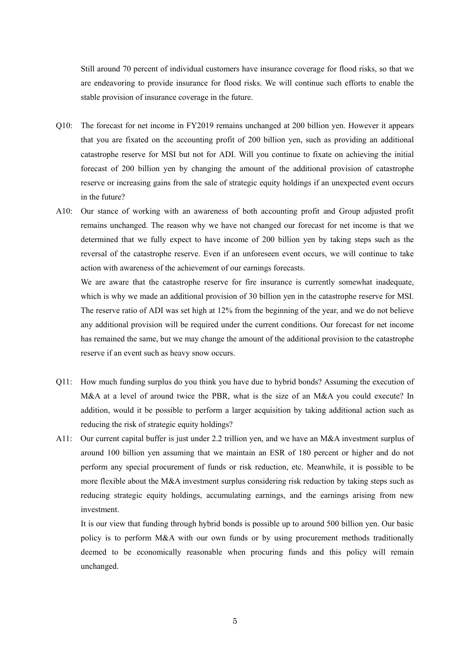Still around 70 percent of individual customers have insurance coverage for flood risks, so that we are endeavoring to provide insurance for flood risks. We will continue such efforts to enable the stable provision of insurance coverage in the future.

- Q10: The forecast for net income in FY2019 remains unchanged at 200 billion yen. However it appears that you are fixated on the accounting profit of 200 billion yen, such as providing an additional catastrophe reserve for MSI but not for ADI. Will you continue to fixate on achieving the initial forecast of 200 billion yen by changing the amount of the additional provision of catastrophe reserve or increasing gains from the sale of strategic equity holdings if an unexpected event occurs in the future?
- A10: Our stance of working with an awareness of both accounting profit and Group adjusted profit remains unchanged. The reason why we have not changed our forecast for net income is that we determined that we fully expect to have income of 200 billion yen by taking steps such as the reversal of the catastrophe reserve. Even if an unforeseen event occurs, we will continue to take action with awareness of the achievement of our earnings forecasts.

We are aware that the catastrophe reserve for fire insurance is currently somewhat inadequate, which is why we made an additional provision of 30 billion yen in the catastrophe reserve for MSI. The reserve ratio of ADI was set high at 12% from the beginning of the year, and we do not believe any additional provision will be required under the current conditions. Our forecast for net income has remained the same, but we may change the amount of the additional provision to the catastrophe reserve if an event such as heavy snow occurs.

- Q11: How much funding surplus do you think you have due to hybrid bonds? Assuming the execution of M&A at a level of around twice the PBR, what is the size of an M&A you could execute? In addition, would it be possible to perform a larger acquisition by taking additional action such as reducing the risk of strategic equity holdings?
- A11: Our current capital buffer is just under 2.2 trillion yen, and we have an M&A investment surplus of around 100 billion yen assuming that we maintain an ESR of 180 percent or higher and do not perform any special procurement of funds or risk reduction, etc. Meanwhile, it is possible to be more flexible about the M&A investment surplus considering risk reduction by taking steps such as reducing strategic equity holdings, accumulating earnings, and the earnings arising from new investment.

It is our view that funding through hybrid bonds is possible up to around 500 billion yen. Our basic policy is to perform M&A with our own funds or by using procurement methods traditionally deemed to be economically reasonable when procuring funds and this policy will remain unchanged.